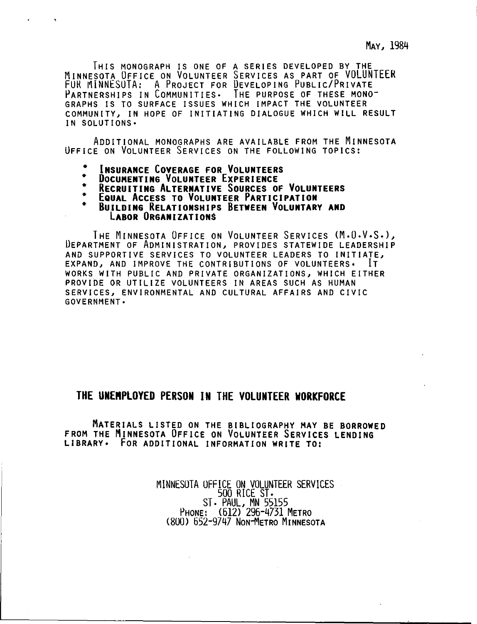THIS MONOGRAPH IS ONE OF A SERIES DEVELOPED BY THE MINNESOTA OFFICE ON VOLUNTEER SERVICES AS PART OF VOLUNTEER FUR MINNESOTA: A PROJECT FOR DEVELOPING PUBLIC/PRIVATE PARTNERSHIPS IN COMMUNITIES. THE PURPOSE OF THESE MONO-GRAPHS IS TO SURFACE ISSUES WHICH IMPACT THE VOLUNTEER COMMUNITY, IN HOPE OF INITIATING DIALOGUE WHICH WILL RESULT IN SOLUTIONS•

ADDITIONAL MONOGRAPHS ARE AVAILABLE FROM THE MINNESOTA OFFICE ON VOLUNTEER SERVICES ON THE FOLLOWING TOPICS:

- **INSURANCE COVERAGE FOR VOLUNTEERS**
- **DOCUMENTING VOLUNTEER EXPERIENCE**
- **RECRUITING ALTERNATIVE SOURCES OF VOLUNTEERS**
- EQUAL ACCESS TO VOLUNTEER PARTICIPATION
- **BUILDING RELATIONSHIPS BETWEEN VOLUNTARY AND LABOR ORGANIZATIONS**

THE MINNESOTA OFFICE ON VOLUNTEER SERVICES (M.O.V.S.), DEPARTMENT OF ADMINISTRATION, PROVIDES STATEWIDE LEADERSHIP AND SUPPORTIVE SERVICES TO VOLUNTEER LEADERS TO INITIATE, EXPAND, AND IMPROVE THE CONTRIBUTIONS OF VOLUNTEERS• IT WORKS WITH PUBLIC AND PRIVATE ORGANIZATIONS, WHICH EITHER PROVIDE OR UTILIZE VOLUNTEERS IN AREAS SUCH AS HUMAN SERVICES, ENVIRONMENTAL AND CULTURAL AFFAIRS AND CIVIC GOVERNMENT•

### **THE UNENPLOYED PERSON IN THE VOLUNTEER WORKFORCE**

MATERIALS LISTED ON THE BIBLIOGRAPHY MAY BE BORROWED FROM THE MINNESOTA OFFICE ON VOLUNTEER SERVICES LENDING **LIBRARY•** FOR ADDITIONAL INFORMATION **WRITE** TO:

> MINNESOTA OFFICE ON VOLUNTEER SERVICES 500 RICE ST. ST. PAUL, MN 55155 PHONE: (612) 296-4731 METRO (800) 652-9747 NON-METRO MINNESOTA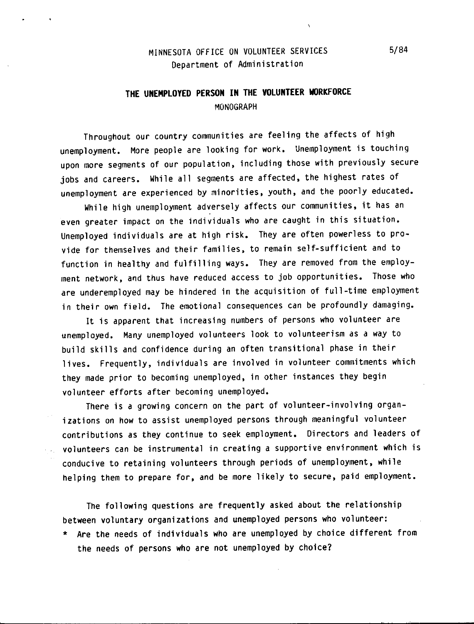### MINNESOTA OFFICE ON VOLUNTEER SERVICES Department of Administration

## **THE UNEMPLOYED PERSON IN THE VOLUNTEER WORKFORCE**  MONOGRAPH

Throughout our country communities are feeling the affects of high unemployment. More people are looking for work. Unemployment is touching upon more segments of our population, including those with previously secure jobs and careers. While all segments are affected, the highest rates of unemployment are experienced by minorities, youth, and the poorly educated,

While high unemployment adversely affects our communities, it has an even greater impact on the individuals who are caught in this situation, Unemployed individuals are at high risk, They are often powerless to provide for themselves and their families, to remain self-sufficient and to function in healthy and fulfilling ways, They are removed from the employment network, and thus have reduced access to job opportunities, Those who are underemployed may be hindered in the acquisition of full-time employment in their own field. The emotional consequences can be profoundly damaging,

It is apparent that increasing numbers of persons who volunteer are unemployed, Many unemployed volunteers look to volunteerism as a way to build skills and confidence during an often transitional phase in their lives. Frequently, individuals are involved in volunteer commitments which they made prior to becoming unemployed, in other instances they begin volunteer efforts after becoming unemployed,

There is a growing concern on the part of volunteer-involving organizations on how to assist unemployed persons through meaningful volunteer contributions as they continue to seek employment. Directors and leaders of volunteers can be instrumental in creating a supportive environment which is conducive to retaining volunteers through periods of unemployment, while helping them to prepare for, and be more likely to secure, paid employment.

The following questions are frequently asked about the relationship between voluntary organizations and unemployed persons who volunteer:

\* Are the needs of individuals who are unemployed by choice different from the needs of persons who are not unemployed by choice?

 $5/84$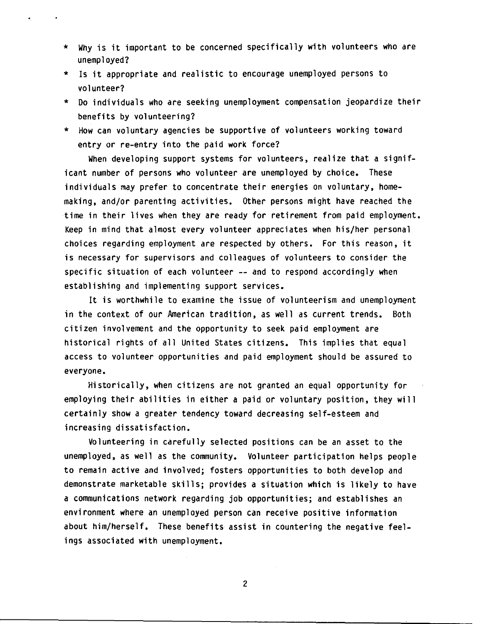- \* Why is it important to be concerned specifically with volunteers who are unemployed?
- \* Is it appropriate and realistic to encourage unemployed persons to volunteer?
- \* Do individuals who are seeking unemployment compensation jeopardize their benefits by volunteering?
- \* How can voluntary agencies be supportive of volunteers working toward entry or re-entry into the paid work force?

When developing support systems for volunteers, realize that a significant number of persons who volunteer are unemployed by choice. These individuals may prefer to concentrate their energies on voluntary, homemaking, and/or parenting activities. Other persons might have reached the time in their lives when they are ready for retirement from paid employment. Keep in mind that almost every volunteer appreciates when his/her personal choices regarding employment are respected by others. For this reason, it is necessary for supervisors and colleagues of volunteers to consider the specific situation of each volunteer -- and to respond accordingly when establishing and implementing support services.

It is worthwhile to examine the issue of volunteerism and unemployment in the context of our American tradition, as well as current trends. Both citizen involvement and the opportunity to seek paid employment are historical rights of all United States citizens. This implies that equal access to volunteer opportunities and paid employment should be assured to everyone.

Historically, when citizens are not granted an equal opportunity for employing their abilities in either a paid or voluntary position, they will certainly show a greater tendency toward decreasing self-esteem and increasing dissatisfaction.

Volunteering in carefully selected positions can be an asset to the unemployed, as well as the community. Volunteer participation helps people to remain active and involved; fosters opportunities to both develop and demonstrate marketable skills; provides a situation which is likely to have a communications network regarding job opportunities; and establishes an environment where an unemployed person can receive positive information about him/herself. These benefits assist in countering the negative feelings associated with unemployment.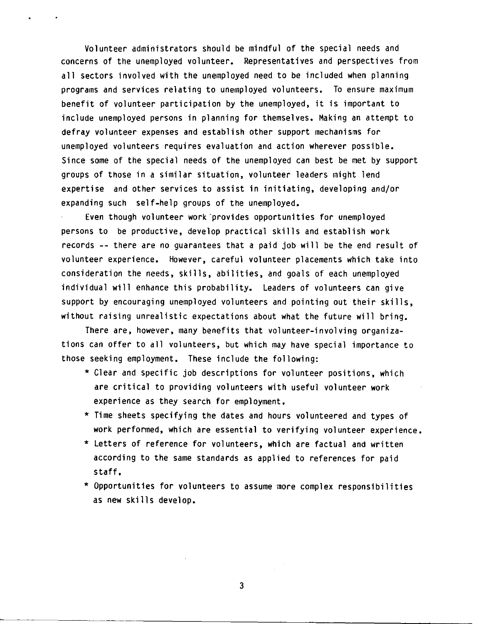Volunteer administrators should be mindful of the special needs and concerns of the unemployed volunteer. Representatives and perspectives from all sectors involved with the unemployed need to be included when planning programs and services relating to unemployed volunteers. To ensure maximum benefit of volunteer participation by the unemployed, it is important to include unemployed persons in planning for themselves. Making an attempt to defray volunteer expenses and establish other support mechanisms for unemployed volunteers requires evaluation and action wherever possible. Since some of the special needs of the unemployed can best be met by support groups of those in a similar situation, volunteer leaders might lend expertise and other services to assist in initiating, developing and/or expanding such self-help groups of the unemployed.

Even though volunteer work provides opportunities for unemployed persons to be productive, develop practical skills and establish work records -- there are no guarantees that a paid job will be the end result of volunteer experience. However, careful volunteer placements which take into consideration the needs, skills, abilities, and goals of each unemployed individual will enhance this probability. Leaders of volunteers can give support by encouraging unemployed volunteers and pointing out their skills, without raising unrealistic expectations about what the future will bring.

There are, however, many benefits that volunteer-involving organizations can offer to all volunteers, but which may have special importance to those seeking employment, These include the following:

- \* Clear and specific job descriptions for volunteer positions, which are critical to providing volunteers with useful volunteer work experience as they search for employment.
- \* Time sheets specifying the dates and hours volunteered and types of work performed, which are essential to verifying volunteer experience,
- \* Letters of reference for volunteers, which are factual and written according to the same standards as applied to references for paid staff,
- \* Opportunities for volunteers to assume more complex responsibilities as new skills develop,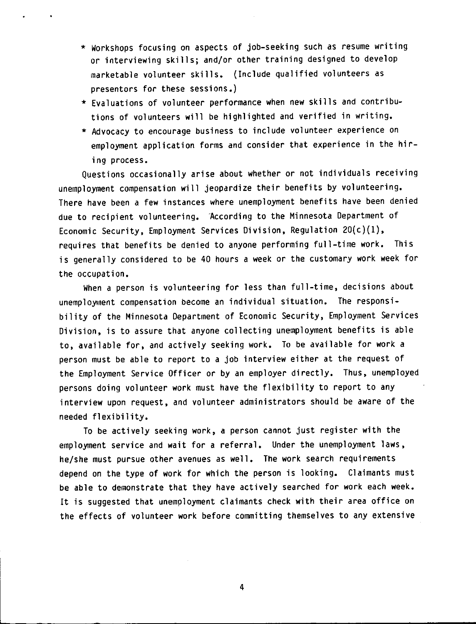- \* Workshops focusing on aspects of job-seeking such as resume writing or interviewing skills; and/or other training designed to develop marketable volunteer skills. (Include qualified volunteers as presentors for these sessions.)
- \* Evaluations of volunteer performance when new skills and contributions of volunteers will be highlighted and verified in writing.
- \* Advocacy to encourage business to include volunteer experience on employment application forms and consider that experience in the hiring process.

Questions occasionally arise about whether or not individuals receiving unemployment compensation will jeopardize their benefits by volunteering. There have been a few instances where unemployment benefits have been denied due to recipient volunteering. According to the Minnesota Department of Economic Security, Employment Services Division, Regulation 20(c)(l), requires that benefits be denied to anyone performing full-time work. This is generally considered to be 40 hours a week or the customary work week for the occupation.

When a person is volunteering for less than full-time, decisions about unemployment compensation become an individual situation. The responsibility of the Minnesota Department of Economic Security, Employment Services Division, is to assure that anyone collecting unemployment benefits is able to, available for, and actively seeking work. To be available for work a person must be able to report to a job interview either at the request of the Employment Service Officer or by an employer directly. Thus, unemployed persons doing volunteer work must have the flexibility to report to any interview upon request, and volunteer administrators should be aware of the needed flexibility.

To be actively seeking work, a person cannot just register with the employment service and wait for a referral. Under the unemployment laws, he/she must pursue other avenues as well. The work search requirements depend on the type of work for which the person is looking. Claimants must be able to demonstrate that they have actively searched for work each week. It is suggested that unemployment claimants check with their area office on the effects of volunteer work before committing themselves to any extensive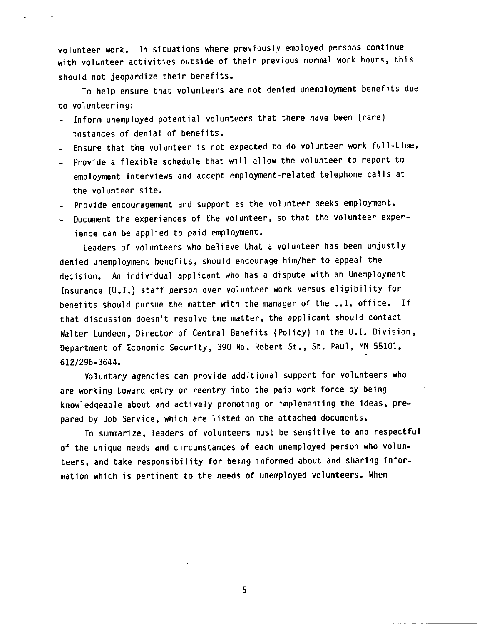volunteer work. In situations where previously employed persons continue with volunteer activities outside of their previous normal work hours, this should not jeopardize their benefits.

To help ensure that volunteers are not denied unemployment benefits due to volunteering:

- Inform unemployed potential volunteers that there have been (rare) instances of denial of benefits.
- Ensure that the volunteer is not expected to do volunteer work full-time.
- Provide a flexible schedule that will allow the volunteer to report to employment interviews and accept employment-related telephone calls at the volunteer site.
- Provide encouragement and support as the volunteer seeks employment.
- Document the experiences of the volunteer, so that the volunteer experience can be applied to paid employment,

Leaders of volunteers who believe that a volunteer has been unjustly denied unemployment benefits, should encourage him/her to appeal the decision. An individual applicant who has a dispute with an Unemployment Insurance (U.I,) staff person over volunteer work versus eligibility for benefits should pursue the matter with the manager of the U.I. office. If that discussion doesn't resolve the matter, the applicant should contact Walter Lundeen, Director of Central Benefits (Policy) in the U,I. Division, Department of Economic Security, 390 No. Robert St., St. Paul, MN 55101, 612/296-3644.

Voluntary agencies can provide additional support for volunteers who are working toward entry or reentry into the paid work force by being knowledgeable about and actively promoting or implementing the ideas, prepared by Job Service, which are listed on the attached documents.

To summarize, leaders of volunteers must be sensitive to and respectful of the unique needs and circumstances of each unemployed person who volunteers, and take responsibility for being informed about and sharing information which is pertinent to the needs of unemployed volunteers. When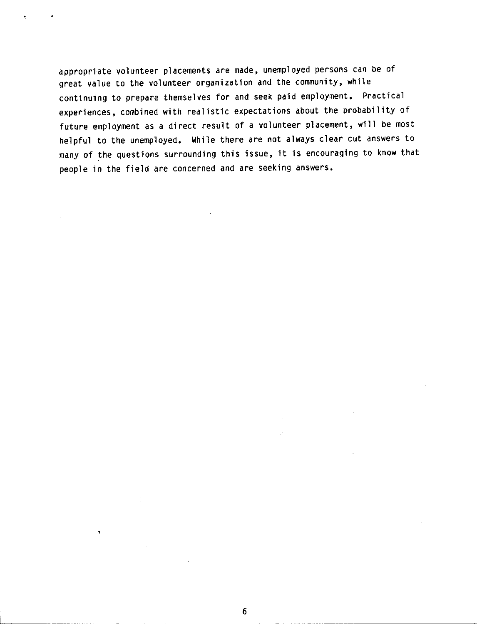appropriate volunteer placements are made, unemployed persons can be of great value to the volunteer organization and the community, while continuing to prepare themselves for and seek paid employment. Practical experiences, combined with realistic expectations about the probability of future employment as a direct result of a volunteer placement, will be most helpful to the unemployed. While there are not always clear cut answers to many of the questions surrounding this issue, it is encouraging to know that people in the field are concerned and are seeking answers.

 $\hat{\mathcal{A}}$ 

 $\mathbf{B}^{\pm}$ 

 $\sim$   $\sim$ 

 $\gamma_{\rm e}$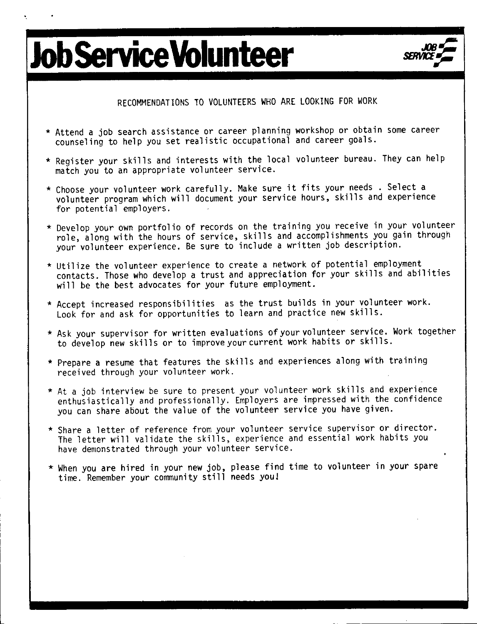## **Job Service Volunteer** *JOB~ SERVICE\_,-*



RECOMMENDATIONS TO VOLUNTEERS WHO ARE LOOKING FOR WORK

- \* Attend a job search assistance or career planning workshop or obtain some career counseling to help you set realistic occupational and career goals.
- \* Register your skills and interests with the local volunteer bureau. They can help match you to an appropriate volunteer service.
- \* Choose your volunteer work carefully. Make sure it fits your needs . Select a volunteer program which will document your service hours, skills and experience for potential employers.
- \* Develop your own portfolio of records on the training you receive in your volunteer role, along with the hours of service, skills and accomplishments you gain through your volunteer experience. Be sure to include a written job description.
- \* Utilize the volunteer experience to create a network of potential employment contacts. Those who develop a trust and appreciation for your skills and abilities will be the best advocates for your future employment.
- \* Accept increased responsibilities as the trust builds in your volunteer work. Look for and ask for opportunities to learn and practice new skills.
- \* Ask your supervisor for written evaluations of your volunteer service. Work together to develop new skills or to improve your current work habits or skills.
- \* Prepare a resume that features the skills and experiences along with training received through your volunteer work.
- \* At a job interview be sure to present your volunteer work skills and experience enthusiastically and professionally. Employers are impressed with the confidence you can share about the value of the volunteer service you have given.
- \* Share a letter of reference from your volunteer service supervisor or director. The letter will validate the skills, experience and essential work habits you have demonstrated through your volunteer service.
- \* When you are hired in your new job, please find time to volunteer in your spare time. Remember your community still needs you!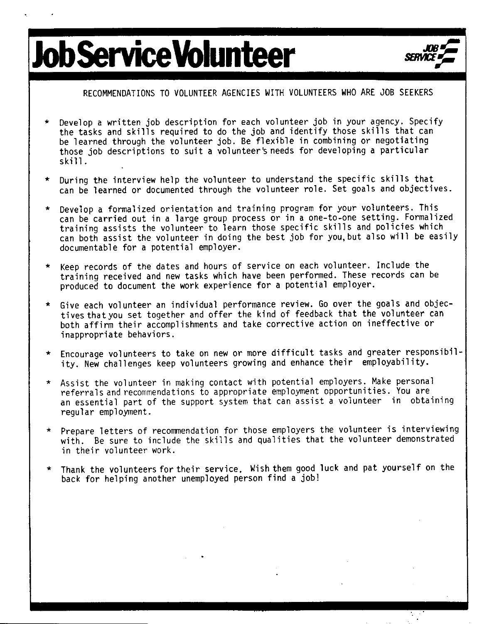# $Iob$ **Service Volunteer**



### RECOMMENDATIONS TO VOLUNTEER AGENCIES WITH VOLUNTEERS WHO ARE JOB SEEKERS

- Develop a written job description for each volunteer job in your agency. Specify the tasks and skills required to do the job and identify those skills that can be learned through the volunteer job. Be flexible in combining or negotiating those job descriptions to suit a volunteer's needs for developing a particular ski 11.
- During the interview help the volunteer to understand the specific skills that can be learned or documented through the volunteer role. Set goals and objectives.
- Develop a formalized orientation and training program for your volunteers. This can be carried out in a large group process or in a one-to-one setting. Formalized training assists the volunteer to learn those specific skills and policies which can both assist the volunteer in doing the best job for you,but also will be easily documentable for a potential employer.
- \* Keep records of the dates and hours of service on each volunteer. Include the training received and new tasks which have been performed. These records can be produced to document the work experience for a potential employer.
- \* Give each volunteer an individual performance review. Go over the goals and objectives that you set together and offer the kind of feedback that the volunteer can both affirm their accomplishments and take corrective action on ineffective or inappropriate behaviors.
- \* Encourage volunteers to take on new or more difficult tasks and greater responsibility. New challenges keep volunteers growing and enhance their employability.
- \* Assist the volunteer in making contact with potential employers. Make personal referrals and recommendations to appropriate employment opportunities. You are an essential part of the support system that can assist a volunteer in obtaining regular employment.
- \* Prepare letters of recommendation for those employers the volunteer is interviewing with. Be sure to include the skills and qualities that the volunteer demonstrated in their volunteer work.
- Thank the volunteers for their service. Wish them good luck and pat yourself on the back for helping another unemployed person find a job!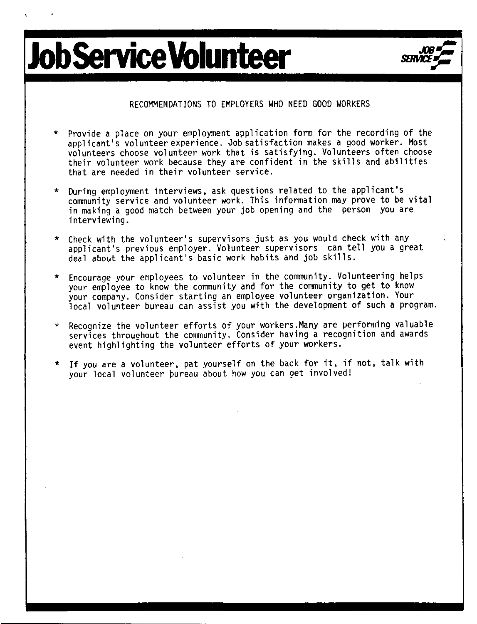# **Job Service Volunteer**



#### RECOMMENDATIONS TO EMPLOYERS WHO NEED GOOD WORKERS

- Provide a place on your employment application form for the recording of the applicant's volunteer experience. Job satisfaction makes a qood worker. Most volunteers choose volunteer work that is satisfying. Volunteers often choose their volunteer work because they are confident in the skills and abilities that are needed in their volunteer service.
- \* During employment interviews, ask questions related to the applicant's community service and volunteer work. This information may prove to be vital in making a good match between your job opening and the person you are interviewing.
- \* Check with the volunteer's supervisors just as you would check with any applicant's previous employer. Volunteer supervfsors can tell you a great deal about the applicant's basic work habits and job skills.
- Encourage your employees to volunteer in the community. Volunteering helps your employee to know the community and for the community to get to know your company. Consider starting an employee volunteer organization. Your local volunteer bureau can assist you with the development of such a program.
- \* Recognize the volunteer efforts of your workers.Many are performing valuable services throughout the community. Consider having a recognition and awards event highlighting the volunteer efforts of your workers.
- \* If you are a volunteer, pat yourself on the back for it, if not, talk with your local volunteer pureau about how you can get involved!